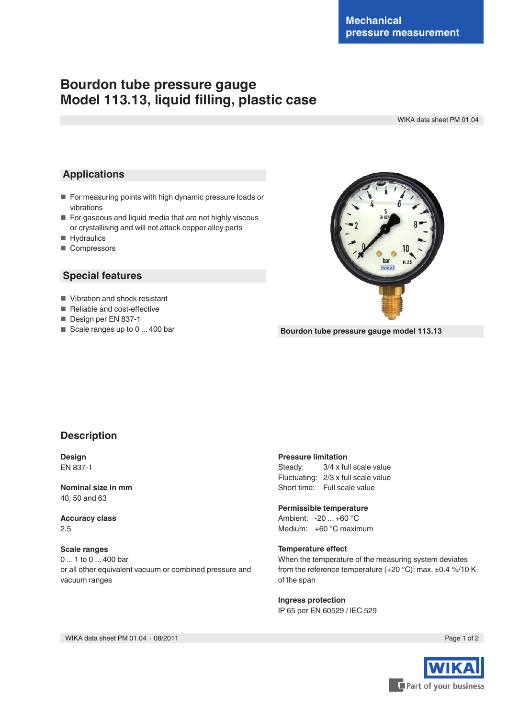# **Bourdon tube pressure gauge Model 113.13, liquid filling, plastic case**

WIKA data sheet PM 01.04

## **Applications**

- For measuring points with high dynamic pressure loads or vibrations
- For gaseous and liquid media that are not highly viscous or crystallising and will not attack copper alloy parts
- Hydraulics
- Compressors

## **Special features**

- Vibration and shock resistant
- Reliable and cost-effective
- Design per EN 837-1
- Scale ranges up to 0 ... 400 bar



**Bourdon tube pressure gauge model 113.13**

## **Description**

**Design** EN 837-1

**Nominal size in mm** 40, 50 and 63

**Accuracy class** 2.5

#### **Scale ranges**

0 ... 1 to 0 ... 400 bar or all other equivalent vacuum or combined pressure and vacuum ranges

#### **Pressure limitation**

Steady: 3/4 x full scale value Fluctuating: 2/3 x full scale value Short time: Full scale value

**Permissible temperature** Ambient: -20 ... +60 °C Medium: +60 °C maximum

#### **Temperature effect**

When the temperature of the measuring system deviates from the reference temperature (+20 °C): max. ±0.4 %/10 K of the span

**Ingress protection** IP 65 per EN 60529 / lEC 529



WIKA data sheet PM 01.04 ⋅ 08/2011 Page 1 of 2